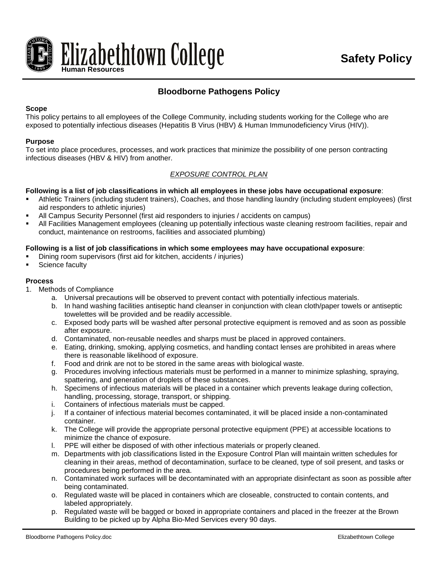

# **Bloodborne Pathogens Policy**

## **Scope**

This policy pertains to all employees of the College Community, including students working for the College who are exposed to potentially infectious diseases (Hepatitis B Virus (HBV) & Human Immunodeficiency Virus (HIV)).

#### **Purpose**

To set into place procedures, processes, and work practices that minimize the possibility of one person contracting infectious diseases (HBV & HIV) from another.

## *EXPOSURE CONTROL PLAN*

#### **Following is a list of job classifications in which all employees in these jobs have occupational exposure**:

- Athletic Trainers (including student trainers), Coaches, and those handling laundry (including student employees) (first aid responders to athletic injuries)
- All Campus Security Personnel (first aid responders to injuries / accidents on campus)
- All Facilities Management employees (cleaning up potentially infectious waste cleaning restroom facilities, repair and conduct, maintenance on restrooms, facilities and associated plumbing)

#### **Following is a list of job classifications in which some employees may have occupational exposure**:

- Dining room supervisors (first aid for kitchen, accidents / injuries)
- Science faculty

#### **Process**

- 1. Methods of Compliance
	- a. Universal precautions will be observed to prevent contact with potentially infectious materials.
	- b. In hand washing facilities antiseptic hand cleanser in conjunction with clean cloth/paper towels or antiseptic towelettes will be provided and be readily accessible.
	- c. Exposed body parts will be washed after personal protective equipment is removed and as soon as possible after exposure.
	- d. Contaminated, non-reusable needles and sharps must be placed in approved containers.
	- e. Eating, drinking, smoking, applying cosmetics, and handling contact lenses are prohibited in areas where there is reasonable likelihood of exposure.
	- f. Food and drink are not to be stored in the same areas with biological waste.
	- g. Procedures involving infectious materials must be performed in a manner to minimize splashing, spraying, spattering, and generation of droplets of these substances.
	- h. Specimens of infectious materials will be placed in a container which prevents leakage during collection, handling, processing, storage, transport, or shipping.
	- i. Containers of infectious materials must be capped.
	- j. If a container of infectious material becomes contaminated, it will be placed inside a non-contaminated container.
	- k. The College will provide the appropriate personal protective equipment (PPE) at accessible locations to minimize the chance of exposure.
	- l. PPE will either be disposed of with other infectious materials or properly cleaned.
	- m. Departments with job classifications listed in the Exposure Control Plan will maintain written schedules for cleaning in their areas, method of decontamination, surface to be cleaned, type of soil present, and tasks or procedures being performed in the area.
	- n. Contaminated work surfaces will be decontaminated with an appropriate disinfectant as soon as possible after being contaminated.
	- o. Regulated waste will be placed in containers which are closeable, constructed to contain contents, and labeled appropriately.
	- p. Regulated waste will be bagged or boxed in appropriate containers and placed in the freezer at the Brown Building to be picked up by Alpha Bio-Med Services every 90 days.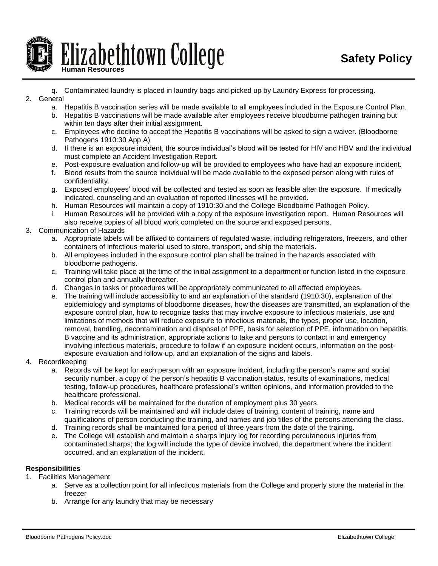

- q. Contaminated laundry is placed in laundry bags and picked up by Laundry Express for processing.
- 2. General
	- a. Hepatitis B vaccination series will be made available to all employees included in the Exposure Control Plan.
	- b. Hepatitis B vaccinations will be made available after employees receive bloodborne pathogen training but within ten days after their initial assignment.
	- c. Employees who decline to accept the Hepatitis B vaccinations will be asked to sign a waiver. (Bloodborne Pathogens 1910:30 App A)
	- d. If there is an exposure incident, the source individual's blood will be tested for HIV and HBV and the individual must complete an Accident Investigation Report.
	- e. Post-exposure evaluation and follow-up will be provided to employees who have had an exposure incident.
	- f. Blood results from the source individual will be made available to the exposed person along with rules of confidentiality.
	- g. Exposed employees' blood will be collected and tested as soon as feasible after the exposure. If medically indicated, counseling and an evaluation of reported illnesses will be provided.
	- h. Human Resources will maintain a copy of 1910:30 and the College Bloodborne Pathogen Policy.
	- i. Human Resources will be provided with a copy of the exposure investigation report. Human Resources will also receive copies of all blood work completed on the source and exposed persons.
- 3. Communication of Hazards
	- a. Appropriate labels will be affixed to containers of regulated waste, including refrigerators, freezers, and other containers of infectious material used to store, transport, and ship the materials.
	- b. All employees included in the exposure control plan shall be trained in the hazards associated with bloodborne pathogens.
	- c. Training will take place at the time of the initial assignment to a department or function listed in the exposure control plan and annually thereafter.
	- d. Changes in tasks or procedures will be appropriately communicated to all affected employees.
	- e. The training will include accessibility to and an explanation of the standard (1910:30), explanation of the epidemiology and symptoms of bloodborne diseases, how the diseases are transmitted, an explanation of the exposure control plan, how to recognize tasks that may involve exposure to infectious materials, use and limitations of methods that will reduce exposure to infectious materials, the types, proper use, location, removal, handling, decontamination and disposal of PPE, basis for selection of PPE, information on hepatitis B vaccine and its administration, appropriate actions to take and persons to contact in and emergency involving infectious materials, procedure to follow if an exposure incident occurs, information on the postexposure evaluation and follow-up, and an explanation of the signs and labels.
- 4. Recordkeeping
	- a. Records will be kept for each person with an exposure incident, including the person's name and social security number, a copy of the person's hepatitis B vaccination status, results of examinations, medical testing, follow-up procedures, healthcare professional's written opinions, and information provided to the healthcare professional.
	- b. Medical records will be maintained for the duration of employment plus 30 years.
	- c. Training records will be maintained and will include dates of training, content of training, name and qualifications of person conducting the training, and names and job titles of the persons attending the class.
	- d. Training records shall be maintained for a period of three years from the date of the training.
	- e. The College will establish and maintain a sharps injury log for recording percutaneous injuries from contaminated sharps; the log will include the type of device involved, the department where the incident occurred, and an explanation of the incident.

# **Responsibilities**

- 1. Facilities Management
	- a. Serve as a collection point for all infectious materials from the College and properly store the material in the freezer
	- b. Arrange for any laundry that may be necessary